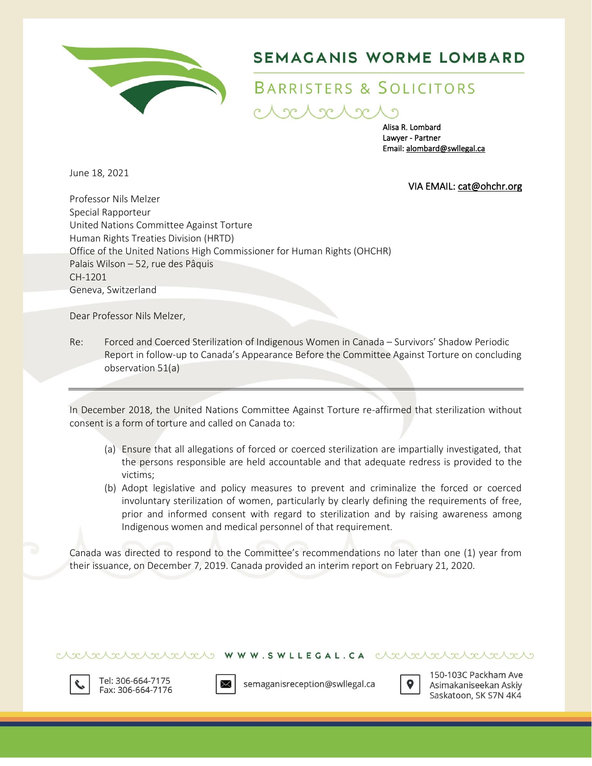

# SEMAGANIS WORME LOMBARD

# BARRISTERS & SOLICITORS

 $2c \wedge 2c$ 

Alisa R. Lombard Lawyer - Partner Email[: alombard@swllegal.ca](mailto:alombard@swllegal.ca)

June 18, 2021

VIA EMAIL[: cat@ohchr.org](mailto:cat@ohchr.org) 

Professor Nils Melzer Special Rapporteur United Nations Committee Against Torture Human Rights Treaties Division (HRTD) Office of the United Nations High Commissioner for Human Rights (OHCHR) Palais Wilson – 52, rue des Pâquis CH-1201 Geneva, Switzerland

Dear Professor Nils Melzer,

Re: Forced and Coerced Sterilization of Indigenous Women in Canada – Survivors' Shadow Periodic Report in follow-up to Canada's Appearance Before the Committee Against Torture on concluding observation 51(a)

In December 2018, the United Nations Committee Against Torture re-affirmed that sterilization without consent is a form of torture and called on Canada to:

- (a) Ensure that all allegations of forced or coerced sterilization are impartially investigated, that the persons responsible are held accountable and that adequate redress is provided to the victims;
- (b) Adopt legislative and policy measures to prevent and criminalize the forced or coerced involuntary sterilization of women, particularly by clearly defining the requirements of free, prior and informed consent with regard to sterilization and by raising awareness among Indigenous women and medical personnel of that requirement.

Canada was directed to respond to the Committee's recommendations no later than one (1) year from their issuance, on December 7, 2019. Canada provided an interim report on February 21, 2020.

clearaded clears www.swillEGAL.CA clearaded clearaded



Tel: 306-664-7175 Fax: 306-664-7176



semaganisreception@swllegal.ca



150-103C Packham Ave Asimakaniseekan Askiy Saskatoon, SK S7N 4K4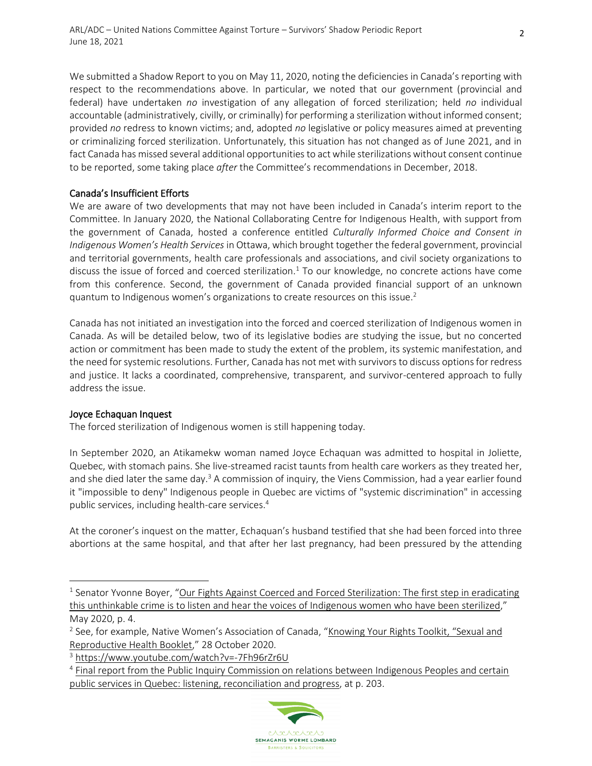We submitted a Shadow Report to you on May 11, 2020, noting the deficiencies in Canada's reporting with respect to the recommendations above. In particular, we noted that our government (provincial and federal) have undertaken *no* investigation of any allegation of forced sterilization; held *no* individual accountable (administratively, civilly, or criminally) for performing a sterilization without informed consent; provided *no* redress to known victims; and, adopted *no* legislative or policy measures aimed at preventing or criminalizing forced sterilization. Unfortunately, this situation has not changed as of June 2021, and in fact Canada has missed several additional opportunities to act while sterilizations without consent continue to be reported, some taking place *after* the Committee's recommendations in December, 2018.

### Canada's Insufficient Efforts

We are aware of two developments that may not have been included in Canada's interim report to the Committee. In January 2020, the National Collaborating Centre for Indigenous Health, with support from the government of Canada, hosted a conference entitled *Culturally Informed Choice and Consent in Indigenous Women's Health Services* in Ottawa, which brought together the federal government, provincial and territorial governments, health care professionals and associations, and civil society organizations to discuss the issue of forced and coerced sterilization.<sup>1</sup> To our knowledge, no concrete actions have come from this conference. Second, the government of Canada provided financial support of an unknown quantum to Indigenous women's organizations to create resources on this issue.<sup>2</sup>

Canada has not initiated an investigation into the forced and coerced sterilization of Indigenous women in Canada. As will be detailed below, two of its legislative bodies are studying the issue, but no concerted action or commitment has been made to study the extent of the problem, its systemic manifestation, and the need for systemic resolutions. Further, Canada has not met with survivors to discuss options for redress and justice. It lacks a coordinated, comprehensive, transparent, and survivor-centered approach to fully address the issue.

# Joyce Echaquan Inquest

The forced sterilization of Indigenous women is still happening today.

In September 2020, an Atikamekw woman named Joyce Echaquan was admitted to hospital in Joliette, Quebec, with stomach pains. She live-streamed racist taunts from health care workers as they treated her, and she died later the same day.<sup>3</sup> A commission of inquiry, the Viens Commission, had a year earlier found it "impossible to deny" Indigenous people in Quebec are victims of "systemic discrimination" in accessing public services, including health-care services.<sup>4</sup>

At the coroner's inquest on the matter, Echaquan's husband testified that she had been forced into three abortions at the same hospital, and that after her last pregnancy, had been pressured by the attending

<sup>&</sup>lt;sup>4</sup> Final report from the Public Inquiry Commission on relations between Indigenous Peoples and certain [public services in Quebec: listening, reconciliation and progress,](https://www.cerp.gouv.qc.ca/fileadmin/Fichiers_clients/Rapport/Final_report.pdf) at p. 203.



<sup>&</sup>lt;sup>1</sup> Senator Yvonne Boyer, "Our Fights Against Coerced and Forced Sterilization: The first step in eradicating [this unthinkable crime is to listen and hear the voices of Indigenous women who](https://senatorboyer.ca/wp-content/uploads/2020/06/Sterilization-Newsletter.pdf) have been sterilized," May 2020, p. 4.

<sup>&</sup>lt;sup>2</sup> See, for example, Native Women's Association of Canada, "Knowing Your Rights Toolkit, "Sexual and [Reproductive Health Booklet](https://www.nwac.ca/policy-areas/forced-sterilization/)," 28 October 2020.

<sup>3</sup> <https://www.youtube.com/watch?v=-7Fh96rZr6U>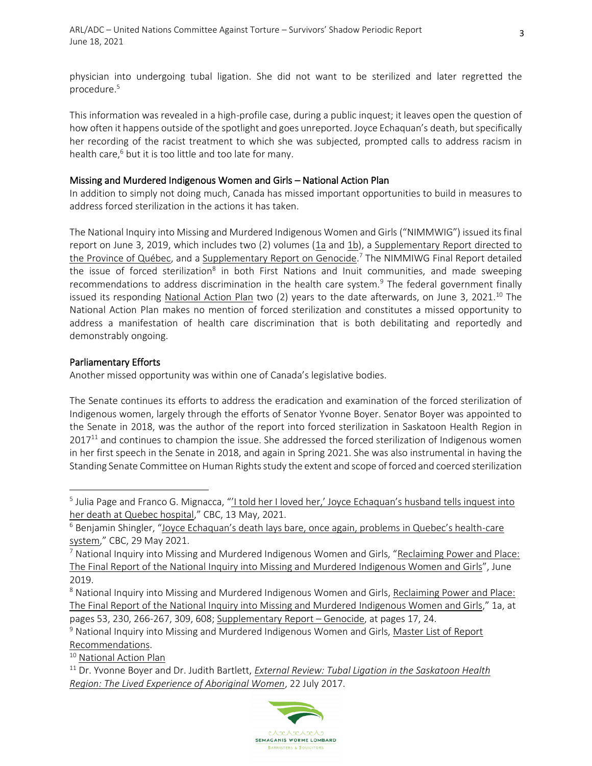physician into undergoing tubal ligation. She did not want to be sterilized and later regretted the procedure.<sup>5</sup>

This information was revealed in a high-profile case, during a public inquest; it leaves open the question of how often it happens outside of the spotlight and goes unreported. Joyce Echaquan's death, but specifically her recording of the racist treatment to which she was subjected, prompted calls to address racism in health care, <sup>6</sup> but it is too little and too late for many.

#### Missing and Murdered Indigenous Women and Girls – National Action Plan

In addition to simply not doing much, Canada has missed important opportunities to build in measures to address forced sterilization in the actions it has taken.

The National Inquiry into Missing and Murdered Indigenous Women and Girls ("NIMMWIG") issued its final report on June 3, 2019, which includes two (2) volumes [\(1a](https://www.mmiwg-ffada.ca/wp-content/uploads/2019/06/Final_Report_Vol_1a-1.pdf) and [1b\)](https://www.mmiwg-ffada.ca/wp-content/uploads/2019/06/Final_Report_Vol_1b.pdf), a [Supplementary Report directed to](https://www.mmiwg-ffada.ca/wp-content/uploads/2019/06/Final_Report_Vol_2_Quebec_Report-1.pdf)  [the Province of Québec,](https://www.mmiwg-ffada.ca/wp-content/uploads/2019/06/Final_Report_Vol_2_Quebec_Report-1.pdf) and a [Supplementary Report on Genocide.](https://www.mmiwg-ffada.ca/wp-content/uploads/2019/06/Supplementary-Report_Genocide.pdf)<sup>7</sup> The NIMMIWG Final Report detailed the issue of forced sterilization<sup>8</sup> in both First Nations and Inuit communities, and made sweeping recommendations to address discrimination in the health care system.<sup>9</sup> The federal government finally issued its responding [National Action Plan](https://4c3tru4erdnui9g3ggftji1d-wpengine.netdna-ssl.com/wp-content/uploads/2021/06/NAP_Report_EN.pdf) two  $(2)$  years to the date afterwards, on June 3, 2021.<sup>10</sup> The National Action Plan makes no mention of forced sterilization and constitutes a missed opportunity to address a manifestation of health care discrimination that is both debilitating and reportedly and demonstrably ongoing.

# Parliamentary Efforts

Another missed opportunity was within one of Canada's legislative bodies.

The Senate continues its efforts to address the eradication and examination of the forced sterilization of Indigenous women, largely through the efforts of Senator Yvonne Boyer. Senator Boyer was appointed to the Senate in 2018, was the author of the report into forced sterilization in Saskatoon Health Region in  $2017<sup>11</sup>$  and continues to champion the issue. She addressed the forced sterilization of Indigenous women in her first speech in the Senate in 2018, and again in Spring 2021. She was also instrumental in having the Standing Senate Committee on Human Rights study the extent and scope of forced and coerced sterilization

<sup>10</sup> [National Action Plan](https://mmiwg2splus-nationalactionplan.ca/)

<sup>11</sup> Dr. Yvonne Boyer and Dr. Judith Bartlett, *[External Review: Tubal Ligation in the Saskatoon Health](https://www.saskatoonhealthregion.ca/DocumentsInternal/Tubal_Ligation_intheSaskatoonHealthRegion_the_Lived_Experience_of_Aboriginal_Women_BoyerandBartlett_July_22_2017.pdf)  [Region: The Lived Experience of Aboriginal Women](https://www.saskatoonhealthregion.ca/DocumentsInternal/Tubal_Ligation_intheSaskatoonHealthRegion_the_Lived_Experience_of_Aboriginal_Women_BoyerandBartlett_July_22_2017.pdf)*, 22 July 2017.



<sup>&</sup>lt;sup>5</sup> Julia Page and Franco G. Mignacca, "<u>'I told her I loved her,' Joyce Echaquan's husband tells inquest into</u> [her death at Quebec hospital](https://www.cbc.ca/news/canada/montreal/quebec-coroner-inquest-death-joyce-echaquan-1.6023915)," CBC, 13 May, 2021.

 $6$  Benjamin Shingler, ["Joyce Echaquan's death lays bare, once again, problems in Quebec's health](https://www.cbc.ca/news/canada/montreal/quebec-joyce-echaquan-reaction-1.6044631)-care [system](https://www.cbc.ca/news/canada/montreal/quebec-joyce-echaquan-reaction-1.6044631)," CBC, 29 May 2021.

<sup>7</sup> National Inquiry into Missing and Murdered Indigenous Women and Girls, "[Reclaiming Power and Place:](https://www.mmiwg-ffada.ca/final-report/)  [The Final Report of the National Inquiry into Missing and Murdered Indigenous Women and Girls](https://www.mmiwg-ffada.ca/final-report/)", June 2019.

<sup>8</sup> National Inquiry into Missing and Murdered Indigenous Women and Girls, Reclaiming Power and Place: [The Final Report of the National Inquiry into Missing and Murdered Indigenous Women and Girls](https://www.mmiwg-ffada.ca/final-report/)," 1a, at pages 53, 230, 266-267, 309, 608; [Supplementary Report](https://www.mmiwg-ffada.ca/wp-content/uploads/2019/06/Supplementary-Report_Genocide.pdf) – Genocide, at pages 17, 24.

<sup>&</sup>lt;sup>9</sup> National Inquiry into Missing and Murdered Indigenous Women and Girls, Master List of Report [Recommendations.](https://www.mmiwg-ffada.ca/wp-content/uploads/2019/06/National-Inquiry-Master-List-of-Report-Recommendations-Organized-By-Theme-and-Jurisdiction-2018-EN-FINAL.pdf)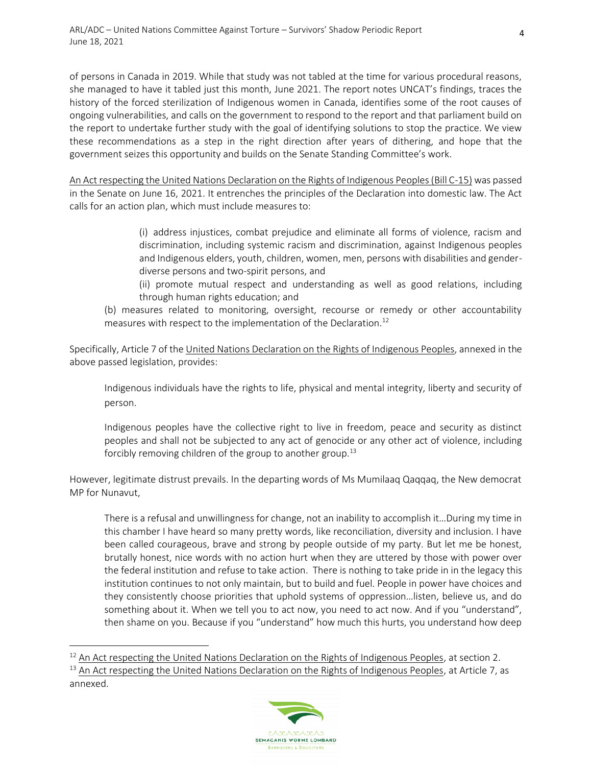ARL/ADC – United Nations Committee Against Torture – Survivors' Shadow Periodic Report June 18, 2021

of persons in Canada in 2019. While that study was not tabled at the time for various procedural reasons, she managed to have it tabled just this month, June 2021. The report notes UNCAT's findings, traces the history of the forced sterilization of Indigenous women in Canada, identifies some of the root causes of ongoing vulnerabilities, and calls on the government to respond to the report and that parliament build on the report to undertake further study with the goal of identifying solutions to stop the practice. We view these recommendations as a step in the right direction after years of dithering, and hope that the government seizes this opportunity and builds on the Senate Standing Committee's work.

[An Act respecting the United Nations Declaration on the Rights of Indigenous Peoples \(Bill C-15\)](https://parl.ca/Content/Bills/432/Government/C-15/C-15_3/C-15_3.PDF) was passed in the Senate on June 16, 2021. It entrenches the principles of the Declaration into domestic law. The Act calls for an action plan, which must include measures to:

> (i) address injustices, combat prejudice and eliminate all forms of violence, racism and discrimination, including systemic racism and discrimination, against Indigenous peoples and Indigenous elders, youth, children, women, men, persons with disabilities and genderdiverse persons and two-spirit persons, and

- (ii) promote mutual respect and understanding as well as good relations, including through human rights education; and
- (b) measures related to monitoring, oversight, recourse or remedy or other accountability measures with respect to the implementation of the Declaration.<sup>12</sup>

Specifically, Article 7 of the United Nations Declaration on [the Rights of Indigenous Peoples,](https://www.un.org/development/desa/indigenouspeoples/wp-content/uploads/sites/19/2018/11/UNDRIP_E_web.pdf) annexed in the above passed legislation, provides:

Indigenous individuals have the rights to life, physical and mental integrity, liberty and security of person.

Indigenous peoples have the collective right to live in freedom, peace and security as distinct peoples and shall not be subjected to any act of genocide or any other act of violence, including forcibly removing children of the group to another group.<sup>13</sup>

However, legitimate distrust prevails. In the departing words of Ms Mumilaaq Qaqqaq, the New democrat MP for Nunavut,

There is a refusal and unwillingness for change, not an inability to accomplish it…During my time in this chamber I have heard so many pretty words, like reconciliation, diversity and inclusion. I have been called courageous, brave and strong by people outside of my party. But let me be honest, brutally honest, nice words with no action hurt when they are uttered by those with power over the federal institution and refuse to take action. There is nothing to take pride in in the legacy this institution continues to not only maintain, but to build and fuel. People in power have choices and they consistently choose priorities that uphold systems of oppression…listen, believe us, and do something about it. When we tell you to act now, you need to act now. And if you "understand", then shame on you. Because if you "understand" how much this hurts, you understand how deep

<sup>&</sup>lt;sup>13</sup> [An Act respecting the United Nations Declaration on the Rights of Indigenous Peoples,](https://parl.ca/Content/Bills/432/Government/C-15/C-15_3/C-15_3.PDF.) at Article 7, as annexed.



 $12$  [An Act respecting the United Nations Declaration on the Rights of Indigenous Peoples,](https://parl.ca/Content/Bills/432/Government/C-15/C-15_3/C-15_3.PDF) at section 2.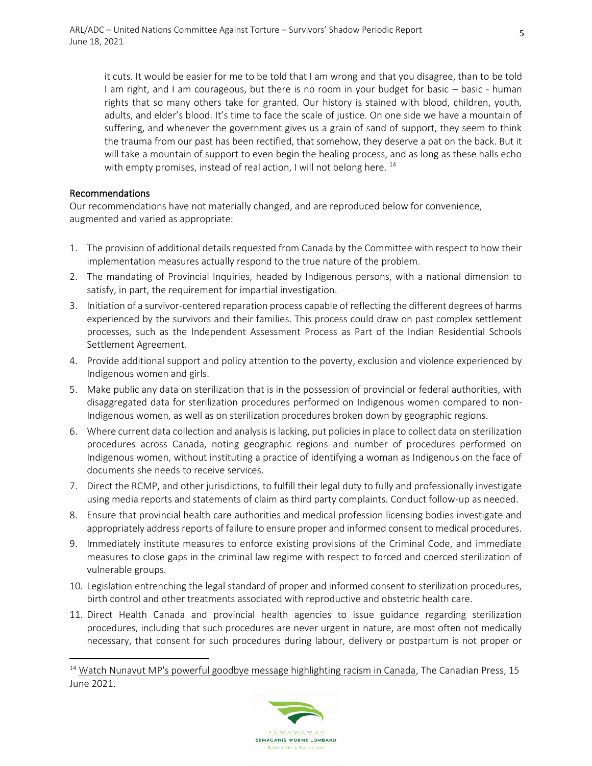it cuts. It would be easier for me to be told that I am wrong and that you disagree, than to be told I am right, and I am courageous, but there is no room in your budget for basic – basic - human rights that so many others take for granted. Our history is stained with blood, children, youth, adults, and elder's blood. It's time to face the scale of justice. On one side we have a mountain of suffering, and whenever the government gives us a grain of sand of support, they seem to think the trauma from our past has been rectified, that somehow, they deserve a pat on the back. But it will take a mountain of support to even begin the healing process, and as long as these halls echo with empty promises, instead of real action, I will not belong here.  $^{14}$ 

#### Recommendations

Our recommendations have not materially changed, and are reproduced below for convenience, augmented and varied as appropriate:

- 1. The provision of additional details requested from Canada by the Committee with respect to how their implementation measures actually respond to the true nature of the problem.
- 2. The mandating of Provincial Inquiries, headed by Indigenous persons, with a national dimension to satisfy, in part, the requirement for impartial investigation.
- 3. Initiation of a survivor-centered reparation process capable of reflecting the different degrees of harms experienced by the survivors and their families. This process could draw on past complex settlement processes, such as the Independent Assessment Process as Part of the Indian Residential Schools Settlement Agreement.
- 4. Provide additional support and policy attention to the poverty, exclusion and violence experienced by Indigenous women and girls.
- 5. Make public any data on sterilization that is in the possession of provincial or federal authorities, with disaggregated data for sterilization procedures performed on Indigenous women compared to non-Indigenous women, as well as on sterilization procedures broken down by geographic regions.
- 6. Where current data collection and analysis is lacking, put policies in place to collect data on sterilization procedures across Canada, noting geographic regions and number of procedures performed on Indigenous women, without instituting a practice of identifying a woman as Indigenous on the face of documents she needs to receive services.
- 7. Direct the RCMP, and other jurisdictions, to fulfill their legal duty to fully and professionally investigate using media reports and statements of claim as third party complaints. Conduct follow-up as needed.
- 8. Ensure that provincial health care authorities and medical profession licensing bodies investigate and appropriately address reports of failure to ensure proper and informed consent to medical procedures.
- 9. Immediately institute measures to enforce existing provisions of the Criminal Code, and immediate measures to close gaps in the criminal law regime with respect to forced and coerced sterilization of vulnerable groups.
- 10. Legislation entrenching the legal standard of proper and informed consent to sterilization procedures, birth control and other treatments associated with reproductive and obstetric health care.
- 11. Direct Health Canada and provincial health agencies to issue guidance regarding sterilization procedures, including that such procedures are never urgent in nature, are most often not medically necessary, that consent for such procedures during labour, delivery or postpartum is not proper or

<sup>&</sup>lt;sup>14</sup> [Watch Nunavut MP's powerful goodbye message highlighting racism in Canada,](https://www.cbc.ca/news/politics/parliament-farewell-speeches-1.6067283) The Canadian Press, 15 June 2021.